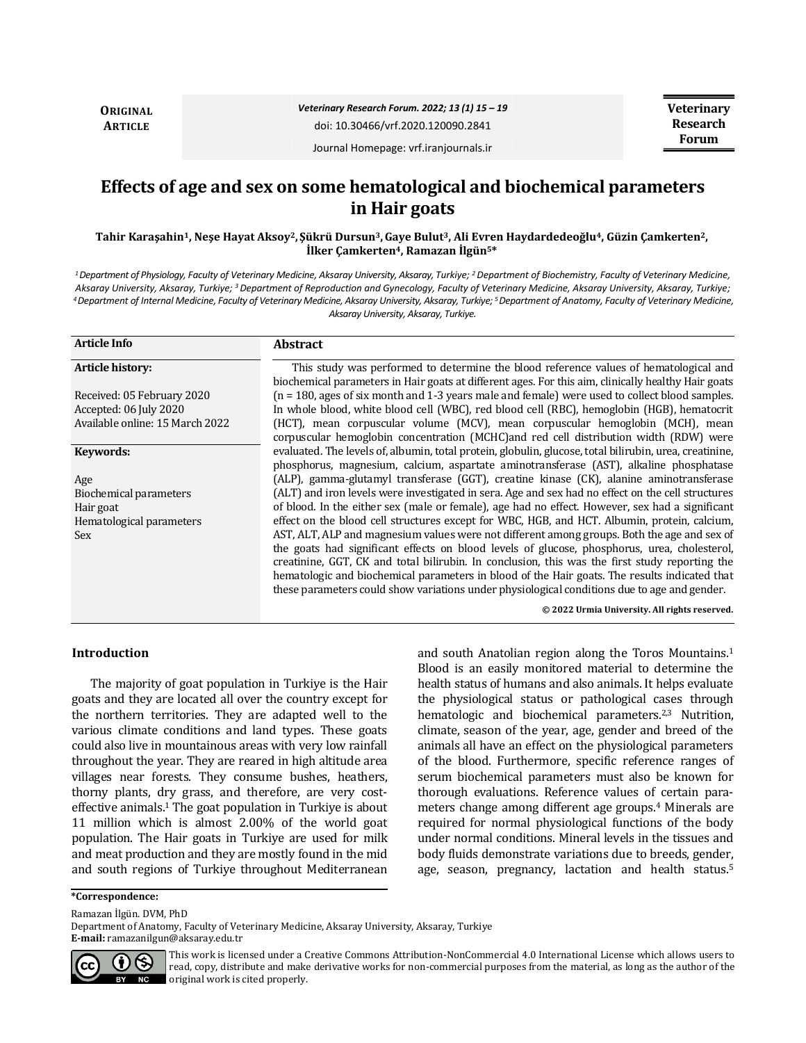**ORIGINAL ARTICLE**

*Veterinary Research Forum. 2022; 13 (1) 15 – 19*

doi: 10.30466/vrf.2020.120090.2841

Journal Homepage: vrf.iranjournals.ir

# **Effects of age and sex on some hematological and biochemical parameters in Hair goats**

**Tahir Karaşahin1, Neşe Hayat Aksoy2, Şükrü Dursun3,Gaye Bulut3, Ali Evren Haydardedeoğlu4, Güzin Çamkerten2, İlker Çamkerten4, Ramazan İlgün5\***

*<sup>1</sup>Department of Physiology, Faculty of Veterinary Medicine, Aksaray University, Aksaray, Turkiye; <sup>2</sup>Department of Biochemistry, Faculty of Veterinary Medicine, Aksaray University, Aksaray, Turkiye; <sup>3</sup>Department of Reproduction and Gynecology, Faculty of Veterinary Medicine, Aksaray University, Aksaray, Turkiye; <sup>4</sup>Department of Internal Medicine, Faculty of Veterinary Medicine, Aksaray University, Aksaray, Turkiye; <sup>5</sup>Department of Anatomy, Faculty of Veterinary Medicine, Aksaray University, Aksaray, Turkiye.*

| <b>Article Info</b>             | <b>Abstract</b>                                                                                                                                                                                                                                                                                                                                                                                                                                                                                |
|---------------------------------|------------------------------------------------------------------------------------------------------------------------------------------------------------------------------------------------------------------------------------------------------------------------------------------------------------------------------------------------------------------------------------------------------------------------------------------------------------------------------------------------|
| Article history:                | This study was performed to determine the blood reference values of hematological and<br>biochemical parameters in Hair goats at different ages. For this aim, clinically healthy Hair goats                                                                                                                                                                                                                                                                                                   |
| Received: 05 February 2020      | $(n = 180, \text{ages of six month and } 1-3 \text{ years male and female})$ were used to collect blood samples.                                                                                                                                                                                                                                                                                                                                                                               |
| Accepted: 06 July 2020          | In whole blood, white blood cell (WBC), red blood cell (RBC), hemoglobin (HGB), hematocrit                                                                                                                                                                                                                                                                                                                                                                                                     |
| Available online: 15 March 2022 | (HCT), mean corpuscular volume (MCV), mean corpuscular hemoglobin (MCH), mean<br>corpuscular hemoglobin concentration (MCHC) and red cell distribution width (RDW) were                                                                                                                                                                                                                                                                                                                        |
| Keywords:                       | evaluated. The levels of, albumin, total protein, globulin, glucose, total bilirubin, urea, creatinine,<br>phosphorus, magnesium, calcium, aspartate aminotransferase (AST), alkaline phosphatase                                                                                                                                                                                                                                                                                              |
| Age                             | (ALP), gamma-glutamyl transferase (GGT), creatine kinase (CK), alanine aminotransferase                                                                                                                                                                                                                                                                                                                                                                                                        |
| Biochemical parameters          | (ALT) and iron levels were investigated in sera. Age and sex had no effect on the cell structures                                                                                                                                                                                                                                                                                                                                                                                              |
| Hair goat                       | of blood. In the either sex (male or female), age had no effect. However, sex had a significant                                                                                                                                                                                                                                                                                                                                                                                                |
| Hematological parameters        | effect on the blood cell structures except for WBC, HGB, and HCT. Albumin, protein, calcium,                                                                                                                                                                                                                                                                                                                                                                                                   |
| Sex                             | AST, ALT, ALP and magnesium values were not different among groups. Both the age and sex of<br>the goats had significant effects on blood levels of glucose, phosphorus, urea, cholesterol,<br>creatinine, GGT, CK and total bilirubin. In conclusion, this was the first study reporting the<br>hematologic and biochemical parameters in blood of the Hair goats. The results indicated that<br>these parameters could show variations under physiological conditions due to age and gender. |
|                                 | © 2022 Urmia University. All rights reserved.                                                                                                                                                                                                                                                                                                                                                                                                                                                  |

# **Introduction**

The majority of goat population in Turkiye is the Hair goats and they are located all over the country except for the northern territories. They are adapted well to the various climate conditions and land types. These goats could also live in mountainous areas with very low rainfall throughout the year. They are reared in high altitude area villages near forests. They consume bushes, heathers, thorny plants, dry grass, and therefore, are very costeffective animals. $1$  The goat population in Turkiye is about 11 million which is almost 2.00% of the world goat population. The Hair goats in Turkiye are used for milk and meat production and they are mostly found in the mid and south regions of Turkiye throughout Mediterranean and south Anatolian region along the Toros Mountains.<sup>1</sup> Blood is an easily monitored material to determine the health status of humans and also animals. It helps evaluate the physiological status or pathological cases through hematologic and biochemical parameters.<sup>2,3</sup> Nutrition, climate, season of the year, age, gender and breed of the animals all have an effect on the physiological parameters of the blood. Furthermore, specific reference ranges of serum biochemical parameters must also be known for thorough evaluations. Reference values of certain parameters change among different age groups.<sup>4</sup> Minerals are required for normal physiological functions of the body under normal conditions. Mineral levels in the tissues and body fluids demonstrate variations due to breeds, gender, age, season, pregnancy, lactation and health status.<sup>5</sup>

Ramazan İlgün. DVM, PhD

Department of Anatomy, Faculty of Veterinary Medicine, Aksaray University, Aksaray, Turkiye **E-mail:** ramazanilgun@aksaray.edu.tr



This work is licensed under a [Creative Commons Attribution-NonCommercial 4.0 International License](http://creativecommons.org/licenses/by-nc/4.0/) which allows users to read, copy, distribute and make derivative works for non-commercial purposes from the material, as long as the author of the original work is cited properly.

**<sup>\*</sup>Correspondence:**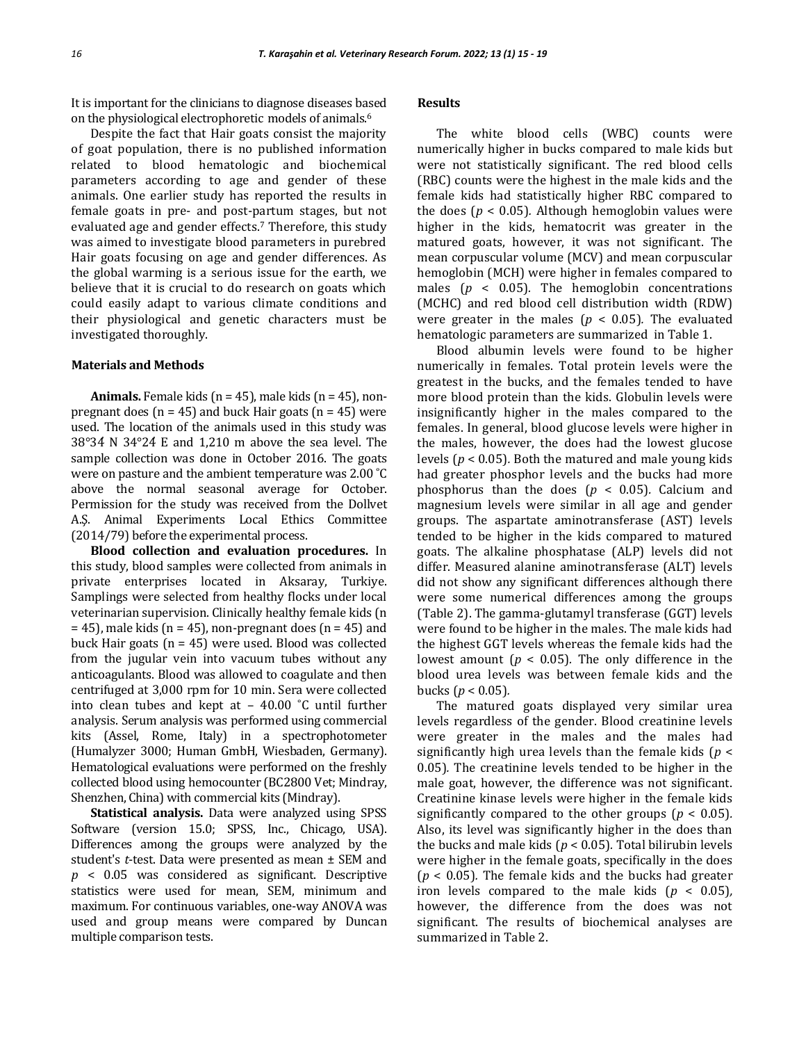It is important for the clinicians to diagnose diseases based on the physiological electrophoretic models of animals.<sup>6</sup>

Despite the fact that Hair goats consist the majority of goat population, there is no published information related to blood hematologic and biochemical parameters according to age and gender of these animals. One earlier study has reported the results in female goats in pre- and post-partum stages, but not evaluated age and gender effects.<sup>7</sup> Therefore, this study was aimed to investigate blood parameters in purebred Hair goats focusing on age and gender differences. As the global warming is a serious issue for the earth, we believe that it is crucial to do research on goats which could easily adapt to various climate conditions and their physiological and genetic characters must be investigated thoroughly.

#### **Materials and Methods**

**Animals.** Female kids  $(n = 45)$ , male kids  $(n = 45)$ , nonpregnant does ( $n = 45$ ) and buck Hair goats ( $n = 45$ ) were used. The location of the animals used in this study was 38°34̓ N 34°24̓ E and 1,210 m above the sea level. The sample collection was done in October 2016. The goats were on pasture and the ambient temperature was 2.00 ˚C above the normal seasonal average for October. Permission for the study was received from the Dollvet A.Ş. Animal Experiments Local Ethics Committee (2014/79) before the experimental process.

**Blood collection and evaluation procedures.** In this study, blood samples were collected from animals in private enterprises located in Aksaray, Turkiye. Samplings were selected from healthy flocks under local veterinarian supervision. Clinically healthy female kids (n  $= 45$ ), male kids (n = 45), non-pregnant does (n = 45) and buck Hair goats  $(n = 45)$  were used. Blood was collected from the jugular vein into vacuum tubes without any anticoagulants. Blood was allowed to coagulate and then centrifuged at 3,000 rpm for 10 min. Sera were collected into clean tubes and kept at – 40.00 ˚C until further analysis. Serum analysis was performed using commercial kits (Assel, Rome, Italy) in a spectrophotometer (Humalyzer 3000; Human GmbH, Wiesbaden, Germany). Hematological evaluations were performed on the freshly collected blood using hemocounter (BC2800 Vet; Mindray, Shenzhen, China) with commercial kits (Mindray).

**Statistical analysis.** Data were analyzed using SPSS Software (version 15.0; SPSS, Inc., Chicago, USA). Differences among the groups were analyzed by the student's *t*-test. Data were presented as mean ± SEM and *p* < 0.05 was considered as significant. Descriptive statistics were used for mean, SEM, minimum and maximum. For continuous variables, one-way ANOVA was used and group means were compared by Duncan multiple comparison tests.

#### **Results**

The white blood cells (WBC) counts were numerically higher in bucks compared to male kids but were not statistically significant. The red blood cells (RBC) counts were the highest in the male kids and the female kids had statistically higher RBC compared to the does ( $p < 0.05$ ). Although hemoglobin values were higher in the kids, hematocrit was greater in the matured goats, however, it was not significant. The mean corpuscular volume (MCV) and mean corpuscular hemoglobin (MCH) were higher in females compared to males (*p* < 0.05)*.* The hemoglobin concentrations (MCHC) and red blood cell distribution width (RDW) were greater in the males ( $p < 0.05$ ). The evaluated hematologic parameters are summarized in Table 1.

Blood albumin levels were found to be higher numerically in females. Total protein levels were the greatest in the bucks, and the females tended to have more blood protein than the kids. Globulin levels were insignificantly higher in the males compared to the females. In general, blood glucose levels were higher in the males, however, the does had the lowest glucose levels (*p* < 0.05)*.* Both the matured and male young kids had greater phosphor levels and the bucks had more phosphorus than the does (*p* < 0.05)*.* Calcium and magnesium levels were similar in all age and gender groups. The aspartate aminotransferase (AST) levels tended to be higher in the kids compared to matured goats. The alkaline phosphatase (ALP) levels did not differ. Measured alanine aminotransferase (ALT) levels did not show any significant differences although there were some numerical differences among the groups (Table 2). The gamma-glutamyl transferase (GGT) levels were found to be higher in the males. The male kids had the highest GGT levels whereas the female kids had the lowest amount ( $p < 0.05$ ). The only difference in the blood urea levels was between female kids and the bucks (*p* < 0.05)*.*

The matured goats displayed very similar urea levels regardless of the gender. Blood creatinine levels were greater in the males and the males had significantly high urea levels than the female kids (*p* < 0.05)*.* The creatinine levels tended to be higher in the male goat, however, the difference was not significant. Creatinine kinase levels were higher in the female kids significantly compared to the other groups (*p* < 0.05)*.* Also, its level was significantly higher in the does than the bucks and male kids (*p* < 0.05)*.* Total bilirubin levels were higher in the female goats, specifically in the does (*p* < 0.05)*.* The female kids and the bucks had greater iron levels compared to the male kids  $(p < 0.05)$ , however, the difference from the does was not significant. The results of biochemical analyses are summarized in Table 2.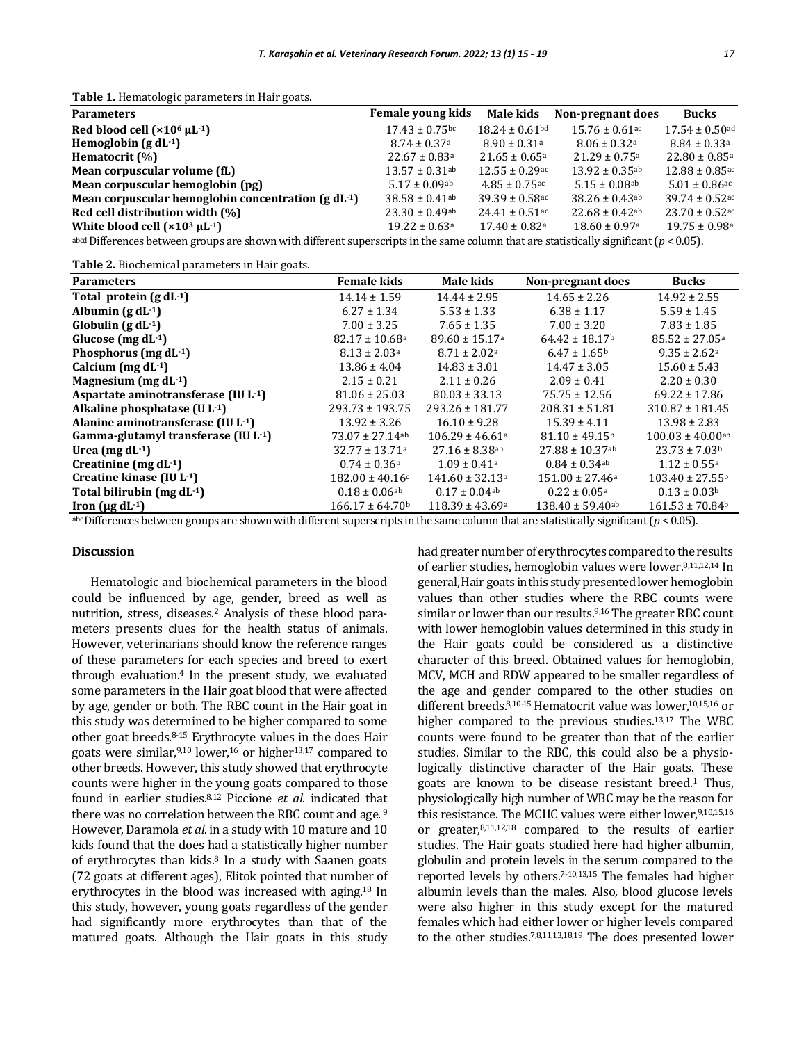**Table 1.** Hematologic parameters in Hair goats.

| <b>Parameters</b>                                  | Female young kids              | Male kids                      | Non-pregnant does              | Bucks                          |
|----------------------------------------------------|--------------------------------|--------------------------------|--------------------------------|--------------------------------|
| Red blood cell $(x106 \mu L^{-1})$                 | $17.43 \pm 0.75$ bc            | $18.24 \pm 0.61$ bd            | $15.76 \pm 0.61$ <sup>ac</sup> | $17.54 \pm 0.50$ ad            |
| Hemoglobin $(g dL^{-1})$                           | $8.74 \pm 0.37$ <sup>a</sup>   | $8.90 \pm 0.31$ <sup>a</sup>   | $8.06 \pm 0.32$ <sup>a</sup>   | $8.84 \pm 0.33$ <sup>a</sup>   |
| Hematocrit (%)                                     | $22.67 \pm 0.83$ <sup>a</sup>  | $21.65 \pm 0.65$ <sup>a</sup>  | $21.29 \pm 0.75$ <sup>a</sup>  | $22.80 \pm 0.85$ <sup>a</sup>  |
| Mean corpuscular volume (fL)                       | $13.57 \pm 0.31$ <sup>ab</sup> | $12.55 \pm 0.29$ <sup>ac</sup> | $13.92 \pm 0.35$ <sup>ab</sup> | $12.88 \pm 0.85$ <sup>ac</sup> |
| Mean corpuscular hemoglobin (pg)                   | $5.17 \pm 0.09$ ab             | $4.85 \pm 0.75$ <sup>ac</sup>  | $5.15 \pm 0.08$ <sup>ab</sup>  | $5.01 \pm 0.86$ <sup>ac</sup>  |
| Mean corpuscular hemoglobin concentration (g dL-1) | $38.58 \pm 0.41$ <sup>ab</sup> | $39.39 \pm 0.58$ <sub>ac</sub> | $38.26 \pm 0.43$ <sup>ab</sup> | $39.74 \pm 0.52$ <sup>ac</sup> |
| Red cell distribution width (%)                    | $23.30 \pm 0.49$ ab            | $24.41 \pm 0.51$ <sup>ac</sup> | $22.68 \pm 0.42$ ab            | $23.70 \pm 0.52$ <sub>ac</sub> |
| White blood cell $(x10^3 \mu L^{-1})$              | $19.22 \pm 0.63$ <sup>a</sup>  | $17.40 \pm 0.82$ <sup>a</sup>  | $18.60 \pm 0.97$ <sup>a</sup>  | $19.75 \pm 0.98$ <sup>a</sup>  |

abcd Differences between groups are shown with different superscripts in the same column that are statistically significant (*p* < 0.05).

**Table 2.** Biochemical parameters in Hair goats.

| <b>Parameters</b>                        | <b>Female kids</b>             | Male kids                       | Non-pregnant does              | <b>Bucks</b>                    |
|------------------------------------------|--------------------------------|---------------------------------|--------------------------------|---------------------------------|
| Total protein $(g dL^{-1})$              | $14.14 \pm 1.59$               | $14.44 \pm 2.95$                | $14.65 \pm 2.26$               | $14.92 \pm 2.55$                |
| Albumin $(g dL^{-1})$                    | $6.27 \pm 1.34$                | $5.53 \pm 1.33$                 | $6.38 \pm 1.17$                | $5.59 \pm 1.45$                 |
| Globulin $(g dL^{-1})$                   | $7.00 \pm 3.25$                | $7.65 \pm 1.35$                 | $7.00 \pm 3.20$                | $7.83 \pm 1.85$                 |
| Glucose $(mg dL^{-1})$                   | $82.17 \pm 10.68$ <sup>a</sup> | $89.60 \pm 15.17$ <sup>a</sup>  | $64.42 \pm 18.17$ <sup>b</sup> | $85.52 \pm 27.05$ <sup>a</sup>  |
| Phosphorus (mg $dL^{-1}$ )               | $8.13 \pm 2.03$ <sup>a</sup>   | $8.71 \pm 2.02^{\text{a}}$      | $6.47 \pm 1.65^{\rm b}$        | $9.35 \pm 2.62$ <sup>a</sup>    |
| Calcium (mg $dL^{-1}$ )                  | $13.86 \pm 4.04$               | $14.83 \pm 3.01$                | $14.47 \pm 3.05$               | $15.60 \pm 5.43$                |
| Magnesium (mg $dL^{-1}$ )                | $2.15 \pm 0.21$                | $2.11 \pm 0.26$                 | $2.09 \pm 0.41$                | $2.20 \pm 0.30$                 |
| Aspartate aminotransferase $(IU L^{-1})$ | $81.06 \pm 25.03$              | $80.03 \pm 33.13$               | $75.75 \pm 12.56$              | $69.22 \pm 17.86$               |
| Alkaline phosphatase $(U L-1)$           | $293.73 \pm 193.75$            | $293.26 \pm 181.77$             | $208.31 \pm 51.81$             | $310.87 \pm 181.45$             |
| Alanine aminotransferase (IU L-1)        | $13.92 \pm 3.26$               | $16.10 \pm 9.28$                | $15.39 \pm 4.11$               | $13.98 \pm 2.83$                |
| Gamma-glutamyl transferase (IU L-1)      | $73.07 \pm 27.14$ ab           | $106.29 \pm 46.61a$             | $81.10 \pm 49.15$ <sup>b</sup> | $100.03 \pm 40.00$ ab           |
| Urea (mg $dL^{-1}$ )                     | $32.77 \pm 13.71$ <sup>a</sup> | $27.16 \pm 8.38$ ab             | $27.88 \pm 10.37$ ab           | $23.73 \pm 7.03b$               |
| Creatinine (mg $dL^{-1}$ )               | $0.74 \pm 0.36^{\rm b}$        | $1.09 \pm 0.41$ <sup>a</sup>    | $0.84 \pm 0.34$ <sup>ab</sup>  | $1.12 \pm 0.55$ <sup>a</sup>    |
| Creatine kinase (IU L-1)                 | $182.00 \pm 40.16$ c           | $141.60 \pm 32.13^b$            | $151.00 \pm 27.46^a$           | $103.40 \pm 27.55^{\rm b}$      |
| Total bilirubin (mg $dL^{-1}$ )          | $0.18 \pm 0.06$ ab             | $0.17 \pm 0.04$ <sup>ab</sup>   | $0.22 \pm 0.05^{\text{a}}$     | $0.13 \pm 0.03$ <sup>b</sup>    |
| Iron ( $\mu$ g dL $\cdot$ 1)             | $166.17 \pm 64.70$             | $118.39 \pm 43.69$ <sup>a</sup> | $138.40 \pm 59.40$ ab          | $161.53 \pm 70.84$ <sup>b</sup> |

abc Differences between groups are shown with different superscripts in the same column that are statistically significant (*p* < 0.05).

## **Discussion**

Hematologic and biochemical parameters in the blood could be influenced by age, gender, breed as well as nutrition, stress, diseases.<sup>2</sup> Analysis of these blood parameters presents clues for the health status of animals. However, veterinarians should know the reference ranges of these parameters for each species and breed to exert through evaluation.<sup>4</sup> In the present study, we evaluated some parameters in the Hair goat blood that were affected by age, gender or both. The RBC count in the Hair goat in this study was determined to be higher compared to some other goat breeds.8-15 Erythrocyte values in the does Hair goats were similar,9,10 lower,<sup>16</sup> or higher13,17 compared to other breeds. However, this study showed that erythrocyte counts were higher in the young goats compared to those found in earlier studies.8,12 Piccione *et al.* indicated that there was no correlation between the RBC count and age.<sup>9</sup> However, Daramola *et al*. in a study with 10 mature and 10 kids found that the does had a statistically higher number of erythrocytes than kids.<sup>8</sup> In a study with Saanen goats (72 goats at different ages), Elitok pointed that number of erythrocytes in the blood was increased with aging.<sup>18</sup> In this study, however, young goats regardless of the gender had significantly more erythrocytes than that of the matured goats. Although the Hair goats in this study had greater number of erythrocytes compared to the results of earlier studies, hemoglobin values were lower.8,11,12,14 In general, Hair goats in this study presented lower hemoglobin values than other studies where the RBC counts were similar or lower than our results.<sup>9,16</sup> The greater RBC count with lower hemoglobin values determined in this study in the Hair goats could be considered as a distinctive character of this breed. Obtained values for hemoglobin, MCV, MCH and RDW appeared to be smaller regardless of the age and gender compared to the other studies on different breeds.<sup>8,10-15</sup> Hematocrit value was lower,<sup>10,15,16</sup> or higher compared to the previous studies.13,17 The WBC counts were found to be greater than that of the earlier studies. Similar to the RBC, this could also be a physiologically distinctive character of the Hair goats. These goats are known to be disease resistant breed.<sup>1</sup> Thus, physiologically high number of WBC may be the reason for this resistance. The MCHC values were either lower.9,10,15,16 or greater, $8,11,12,18$  compared to the results of earlier studies. The Hair goats studied here had higher albumin, globulin and protein levels in the serum compared to the reported levels by others.7-10,13,15 The females had higher albumin levels than the males. Also, blood glucose levels were also higher in this study except for the matured females which had either lower or higher levels compared to the other studies.7,8,11,13,18,19 The does presented lower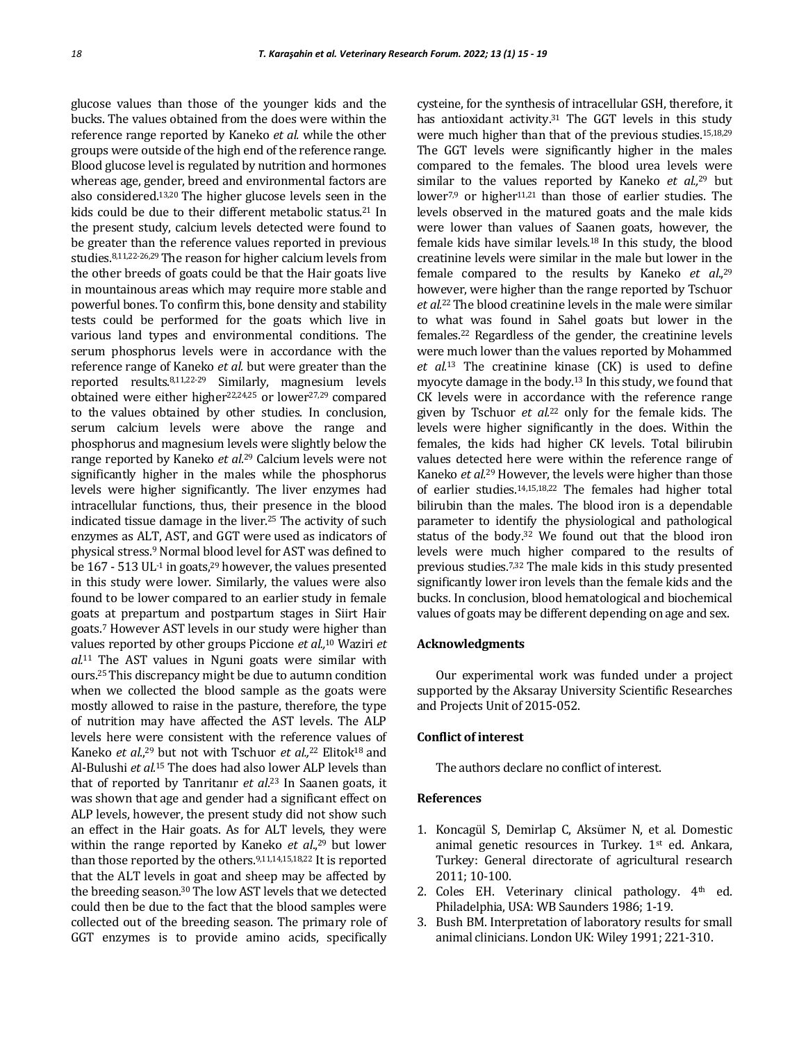glucose values than those of the younger kids and the bucks. The values obtained from the does were within the reference range reported by Kaneko *et al.* while the other groups were outside of the high end of the reference range. Blood glucose level is regulated by nutrition and hormones whereas age, gender, breed and environmental factors are also considered.13,20 The higher glucose levels seen in the kids could be due to their different metabolic status.<sup>21</sup> In the present study, calcium levels detected were found to be greater than the reference values reported in previous studies.8,11,22-26,29 The reason for higher calcium levels from the other breeds of goats could be that the Hair goats live in mountainous areas which may require more stable and powerful bones. To confirm this, bone density and stability tests could be performed for the goats which live in various land types and environmental conditions. The serum phosphorus levels were in accordance with the reference range of Kaneko *et al.* but were greater than the reported results.8,11,22-29 Similarly, magnesium levels obtained were either higher<sup>22,24,25</sup> or lower<sup>27,29</sup> compared to the values obtained by other studies. In conclusion, serum calcium levels were above the range and phosphorus and magnesium levels were slightly below the range reported by Kaneko *et al*. <sup>29</sup> Calcium levels were not significantly higher in the males while the phosphorus levels were higher significantly. The liver enzymes had intracellular functions, thus, their presence in the blood indicated tissue damage in the liver.<sup>25</sup> The activity of such enzymes as ALT, AST, and GGT were used as indicators of physical stress.<sup>9</sup> Normal blood level for AST was defined to be  $167 - 513$  UL $^{-1}$  in goats, <sup>29</sup> however, the values presented in this study were lower. Similarly, the values were also found to be lower compared to an earlier study in female goats at prepartum and postpartum stages in Siirt Hair goats.<sup>7</sup> However AST levels in our study were higher than values reported by other groups Piccione *et al.,* <sup>10</sup> Waziri *et al.*<sup>11</sup> The AST values in Nguni goats were similar with ours.25 This discrepancy might be due to autumn condition when we collected the blood sample as the goats were mostly allowed to raise in the pasture, therefore, the type of nutrition may have affected the AST levels. The ALP levels here were consistent with the reference values of Kaneko *et al*., <sup>29</sup> but not with Tschuor *et al.,*<sup>22</sup> Elitok18 and Al-Bulushi *et al.*<sup>15</sup> The does had also lower ALP levels than that of reported by Tanritanır *et al*. <sup>23</sup> In Saanen goats, it was shown that age and gender had a significant effect on ALP levels, however, the present study did not show such an effect in the Hair goats. As for ALT levels, they were within the range reported by Kaneko *et al*., <sup>29</sup> but lower than those reported by the others.9,11,14,15,18,22 It is reported that the ALT levels in goat and sheep may be affected by the breeding season.<sup>30</sup> The low AST levels that we detected could then be due to the fact that the blood samples were collected out of the breeding season. The primary role of GGT enzymes is to provide amino acids, specifically

cysteine, for the synthesis of intracellular GSH, therefore, it has antioxidant activity.<sup>31</sup> The GGT levels in this study were much higher than that of the previous studies.<sup>15,18,29</sup> The GGT levels were significantly higher in the males compared to the females. The blood urea levels were similar to the values reported by Kaneko *et al.,*<sup>29</sup> but lower<sup>7,9</sup> or higher<sup>11,21</sup> than those of earlier studies. The levels observed in the matured goats and the male kids were lower than values of Saanen goats, however, the female kids have similar levels.18 In this study, the blood creatinine levels were similar in the male but lower in the female compared to the results by Kaneko *et al*., 29 however, were higher than the range reported by Tschuor *et al.*22 The blood creatinine levels in the male were similar to what was found in Sahel goats but lower in the females.<sup>22</sup> Regardless of the gender, the creatinine levels were much lower than the values reported by Mohammed *et al.*<sup>13</sup> The creatinine kinase (CK) is used to define myocyte damage in the body.<sup>13</sup> In this study, we found that CK levels were in accordance with the reference range given by Tschuor *et al.*<sup>22</sup> only for the female kids. The levels were higher significantly in the does. Within the females, the kids had higher CK levels. Total bilirubin values detected here were within the reference range of Kaneko *et al.*<sup>29</sup> However, the levels were higher than those of earlier studies.14,15,18,22 The females had higher total bilirubin than the males. The blood iron is a dependable parameter to identify the physiological and pathological status of the body.<sup>32</sup> We found out that the blood iron levels were much higher compared to the results of previous studies.7,32 The male kids in this study presented significantly lower iron levels than the female kids and the bucks. In conclusion, blood hematological and biochemical values of goats may be different depending on age and sex.

#### **Acknowledgments**

Our experimental work was funded under a project supported by the Aksaray University Scientific Researches and Projects Unit of 2015-052.

# **Conflict of interest**

The authors declare no conflict of interest.

#### **References**

- 1. Koncagül S, Demirlap C, Aksümer N, et al. Domestic animal genetic resources in Turkey. 1<sup>st</sup> ed. Ankara, Turkey: General directorate of agricultural research 2011; 10-100.
- 2. Coles EH. Veterinary clinical pathology. 4<sup>th</sup> ed. Philadelphia, USA: WB Saunders 1986; 1-19.
- 3. Bush BM. Interpretation of laboratory results for small animal clinicians. London UK: Wiley 1991; 221-310.